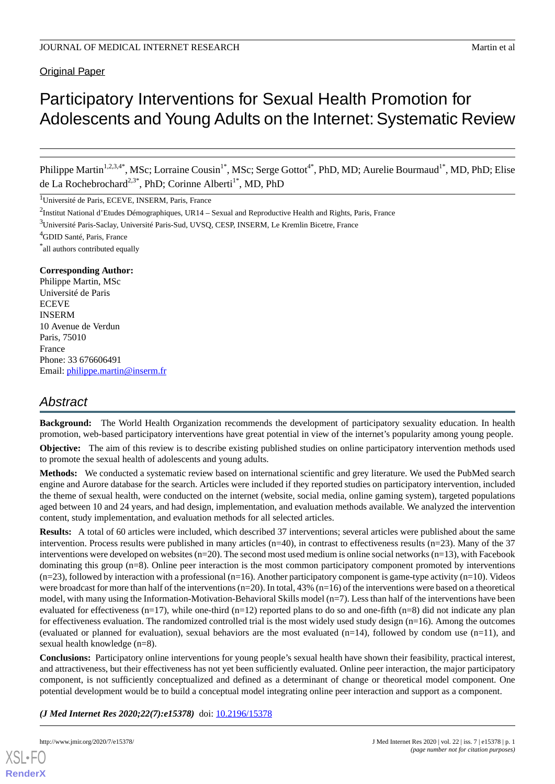Original Paper

# Participatory Interventions for Sexual Health Promotion for Adolescents and Young Adults on the Internet: Systematic Review

Philippe Martin<sup>1,2,3,4\*</sup>, MSc; Lorraine Cousin<sup>1\*</sup>, MSc; Serge Gottot<sup>4\*</sup>, PhD, MD; Aurelie Bourmaud<sup>1\*</sup>, MD, PhD; Elise de La Rochebrochard<sup>2,3\*</sup>, PhD; Corinne Alberti<sup>1\*</sup>, MD, PhD

<sup>1</sup>Université de Paris, ECEVE, INSERM, Paris, France

\* all authors contributed equally

#### **Corresponding Author:**

Philippe Martin, MSc Université de Paris **ECEVE** INSERM 10 Avenue de Verdun Paris, 75010 France Phone: 33 676606491 Email: [philippe.martin@inserm.fr](mailto:philippe.martin@inserm.fr)

# *Abstract*

**Background:** The World Health Organization recommends the development of participatory sexuality education. In health promotion, web-based participatory interventions have great potential in view of the internet's popularity among young people.

**Objective:** The aim of this review is to describe existing published studies on online participatory intervention methods used to promote the sexual health of adolescents and young adults.

**Methods:** We conducted a systematic review based on international scientific and grey literature. We used the PubMed search engine and Aurore database for the search. Articles were included if they reported studies on participatory intervention, included the theme of sexual health, were conducted on the internet (website, social media, online gaming system), targeted populations aged between 10 and 24 years, and had design, implementation, and evaluation methods available. We analyzed the intervention content, study implementation, and evaluation methods for all selected articles.

**Results:** A total of 60 articles were included, which described 37 interventions; several articles were published about the same intervention. Process results were published in many articles  $(n=40)$ , in contrast to effectiveness results  $(n=23)$ . Many of the 37 interventions were developed on websites  $(n=20)$ . The second most used medium is online social networks  $(n=13)$ , with Facebook dominating this group (n=8). Online peer interaction is the most common participatory component promoted by interventions  $(n=23)$ , followed by interaction with a professional  $(n=16)$ . Another participatory component is game-type activity  $(n=10)$ . Videos were broadcast for more than half of the interventions  $(n=20)$ . In total, 43%  $(n=16)$  of the interventions were based on a theoretical model, with many using the Information-Motivation-Behavioral Skills model (n=7). Less than half of the interventions have been evaluated for effectiveness  $(n=17)$ , while one-third  $(n=12)$  reported plans to do so and one-fifth  $(n=8)$  did not indicate any plan for effectiveness evaluation. The randomized controlled trial is the most widely used study design  $(n=16)$ . Among the outcomes (evaluated or planned for evaluation), sexual behaviors are the most evaluated  $(n=14)$ , followed by condom use  $(n=11)$ , and sexual health knowledge (n=8).

**Conclusions:** Participatory online interventions for young people's sexual health have shown their feasibility, practical interest, and attractiveness, but their effectiveness has not yet been sufficiently evaluated. Online peer interaction, the major participatory component, is not sufficiently conceptualized and defined as a determinant of change or theoretical model component. One potential development would be to build a conceptual model integrating online peer interaction and support as a component.

*(J Med Internet Res 2020;22(7):e15378)* doi: **[10.2196/15378](http://dx.doi.org/10.2196/15378)** 

<sup>&</sup>lt;sup>2</sup>Institut National d'Etudes Démographiques, UR14 – Sexual and Reproductive Health and Rights, Paris, France

<sup>3</sup>Université Paris-Saclay, Université Paris-Sud, UVSQ, CESP, INSERM, Le Kremlin Bicetre, France

<sup>4</sup>GDID Santé, Paris, France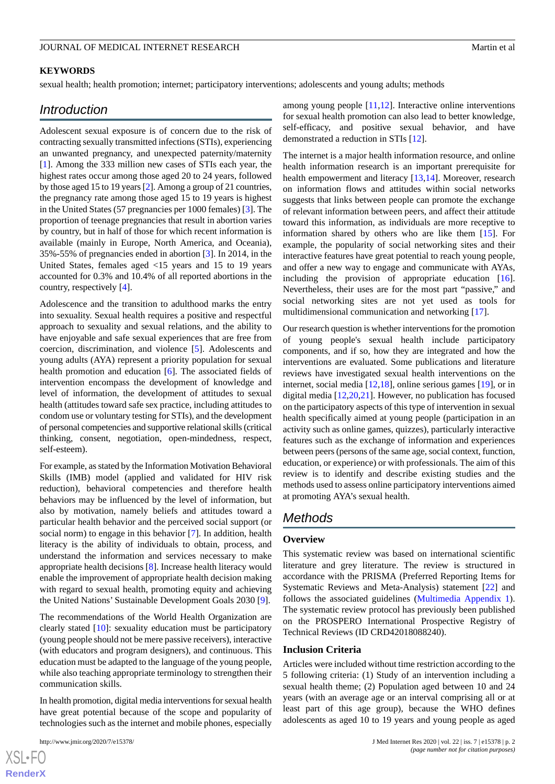#### **KEYWORDS**

sexual health; health promotion; internet; participatory interventions; adolescents and young adults; methods

# *Introduction*

Adolescent sexual exposure is of concern due to the risk of contracting sexually transmitted infections (STIs), experiencing an unwanted pregnancy, and unexpected paternity/maternity [[1\]](#page-13-0). Among the 333 million new cases of STIs each year, the highest rates occur among those aged 20 to 24 years, followed by those aged 15 to 19 years [\[2](#page-13-1)]. Among a group of 21 countries, the pregnancy rate among those aged 15 to 19 years is highest in the United States (57 pregnancies per 1000 females) [\[3](#page-13-2)]. The proportion of teenage pregnancies that result in abortion varies by country, but in half of those for which recent information is available (mainly in Europe, North America, and Oceania), 35%-55% of pregnancies ended in abortion [[3\]](#page-13-2). In 2014, in the United States, females aged <15 years and 15 to 19 years accounted for 0.3% and 10.4% of all reported abortions in the country, respectively [\[4](#page-13-3)].

Adolescence and the transition to adulthood marks the entry into sexuality. Sexual health requires a positive and respectful approach to sexuality and sexual relations, and the ability to have enjoyable and safe sexual experiences that are free from coercion, discrimination, and violence [[5\]](#page-13-4). Adolescents and young adults (AYA) represent a priority population for sexual health promotion and education [[6](#page-13-5)]. The associated fields of intervention encompass the development of knowledge and level of information, the development of attitudes to sexual health (attitudes toward safe sex practice, including attitudes to condom use or voluntary testing for STIs), and the development of personal competencies and supportive relational skills (critical thinking, consent, negotiation, open-mindedness, respect, self-esteem).

For example, as stated by the Information Motivation Behavioral Skills (IMB) model (applied and validated for HIV risk reduction), behavioral competencies and therefore health behaviors may be influenced by the level of information, but also by motivation, namely beliefs and attitudes toward a particular health behavior and the perceived social support (or social norm) to engage in this behavior [[7\]](#page-13-6). In addition, health literacy is the ability of individuals to obtain, process, and understand the information and services necessary to make appropriate health decisions [[8\]](#page-13-7). Increase health literacy would enable the improvement of appropriate health decision making with regard to sexual health, promoting equity and achieving the United Nations'Sustainable Development Goals 2030 [\[9](#page-13-8)].

The recommendations of the World Health Organization are clearly stated [\[10](#page-13-9)]: sexuality education must be participatory (young people should not be mere passive receivers), interactive (with educators and program designers), and continuous. This education must be adapted to the language of the young people, while also teaching appropriate terminology to strengthen their communication skills.

In health promotion, digital media interventions for sexual health have great potential because of the scope and popularity of technologies such as the internet and mobile phones, especially

among young people  $[11,12]$  $[11,12]$  $[11,12]$ . Interactive online interventions for sexual health promotion can also lead to better knowledge, self-efficacy, and positive sexual behavior, and have demonstrated a reduction in STIs [\[12](#page-13-11)].

The internet is a major health information resource, and online health information research is an important prerequisite for health empowerment and literacy [\[13](#page-13-12),[14\]](#page-13-13). Moreover, research on information flows and attitudes within social networks suggests that links between people can promote the exchange of relevant information between peers, and affect their attitude toward this information, as individuals are more receptive to information shared by others who are like them [\[15](#page-13-14)]. For example, the popularity of social networking sites and their interactive features have great potential to reach young people, and offer a new way to engage and communicate with AYAs, including the provision of appropriate education [[16\]](#page-13-15). Nevertheless, their uses are for the most part "passive," and social networking sites are not yet used as tools for multidimensional communication and networking [\[17](#page-13-16)].

Our research question is whether interventions for the promotion of young people's sexual health include participatory components, and if so, how they are integrated and how the interventions are evaluated. Some publications and literature reviews have investigated sexual health interventions on the internet, social media [\[12](#page-13-11),[18\]](#page-13-17), online serious games [[19\]](#page-13-18), or in digital media [[12](#page-13-11)[,20](#page-13-19),[21\]](#page-13-20). However, no publication has focused on the participatory aspects of this type of intervention in sexual health specifically aimed at young people (participation in an activity such as online games, quizzes), particularly interactive features such as the exchange of information and experiences between peers (persons of the same age, social context, function, education, or experience) or with professionals. The aim of this review is to identify and describe existing studies and the methods used to assess online participatory interventions aimed at promoting AYA's sexual health.

# *Methods*

#### **Overview**

This systematic review was based on international scientific literature and grey literature. The review is structured in accordance with the PRISMA (Preferred Reporting Items for Systematic Reviews and Meta-Analysis) statement [[22\]](#page-14-0) and follows the associated guidelines ([Multimedia Appendix 1\)](#page-12-0). The systematic review protocol has previously been published on the PROSPERO International Prospective Registry of Technical Reviews (ID CRD42018088240).

#### **Inclusion Criteria**

Articles were included without time restriction according to the 5 following criteria: (1) Study of an intervention including a sexual health theme; (2) Population aged between 10 and 24 years (with an average age or an interval comprising all or at least part of this age group), because the WHO defines adolescents as aged 10 to 19 years and young people as aged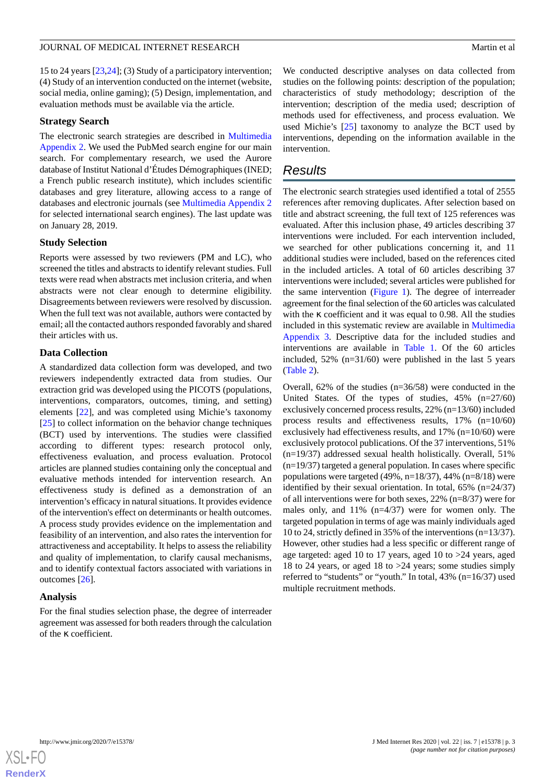15 to 24 years [\[23](#page-14-1),[24\]](#page-14-2); (3) Study of a participatory intervention; (4) Study of an intervention conducted on the internet (website, social media, online gaming); (5) Design, implementation, and evaluation methods must be available via the article.

### **Strategy Search**

The electronic search strategies are described in [Multimedia](#page-12-1) [Appendix 2.](#page-12-1) We used the PubMed search engine for our main search. For complementary research, we used the Aurore database of Institut National d'Études Démographiques (INED; a French public research institute), which includes scientific databases and grey literature, allowing access to a range of databases and electronic journals (see [Multimedia Appendix 2](#page-12-1) for selected international search engines). The last update was on January 28, 2019.

# **Study Selection**

Reports were assessed by two reviewers (PM and LC), who screened the titles and abstracts to identify relevant studies. Full texts were read when abstracts met inclusion criteria, and when abstracts were not clear enough to determine eligibility. Disagreements between reviewers were resolved by discussion. When the full text was not available, authors were contacted by email; all the contacted authors responded favorably and shared their articles with us.

# **Data Collection**

A standardized data collection form was developed, and two reviewers independently extracted data from studies. Our extraction grid was developed using the PICOTS (populations, interventions, comparators, outcomes, timing, and setting) elements [\[22](#page-14-0)], and was completed using Michie's taxonomy [[25\]](#page-14-3) to collect information on the behavior change techniques (BCT) used by interventions. The studies were classified according to different types: research protocol only, effectiveness evaluation, and process evaluation. Protocol articles are planned studies containing only the conceptual and evaluative methods intended for intervention research. An effectiveness study is defined as a demonstration of an intervention's efficacy in natural situations. It provides evidence of the intervention's effect on determinants or health outcomes. A process study provides evidence on the implementation and feasibility of an intervention, and also rates the intervention for attractiveness and acceptability. It helps to assess the reliability and quality of implementation, to clarify causal mechanisms, and to identify contextual factors associated with variations in outcomes [[26\]](#page-14-4).

# **Analysis**

For the final studies selection phase, the degree of interreader agreement was assessed for both readers through the calculation of the κ coefficient.

We conducted descriptive analyses on data collected from studies on the following points: description of the population; characteristics of study methodology; description of the intervention; description of the media used; description of methods used for effectiveness, and process evaluation. We used Michie's [\[25](#page-14-3)] taxonomy to analyze the BCT used by interventions, depending on the information available in the intervention.

# *Results*

The electronic search strategies used identified a total of 2555 references after removing duplicates. After selection based on title and abstract screening, the full text of 125 references was evaluated. After this inclusion phase, 49 articles describing 37 interventions were included. For each intervention included, we searched for other publications concerning it, and 11 additional studies were included, based on the references cited in the included articles. A total of 60 articles describing 37 interventions were included; several articles were published for the same intervention ([Figure 1](#page-3-0)). The degree of interreader agreement for the final selection of the 60 articles was calculated with the κ coefficient and it was equal to 0.98. All the studies included in this systematic review are available in [Multimedia](#page-12-2) [Appendix 3.](#page-12-2) Descriptive data for the included studies and interventions are available in [Table 1](#page-4-0). Of the 60 articles included, 52% (n=31/60) were published in the last 5 years ([Table 2](#page-6-0)).

Overall, 62% of the studies (n=36/58) were conducted in the United States. Of the types of studies, 45% (n=27/60) exclusively concerned process results, 22% (n=13/60) included process results and effectiveness results, 17% (n=10/60) exclusively had effectiveness results, and 17% (n=10/60) were exclusively protocol publications. Of the 37 interventions, 51% (n=19/37) addressed sexual health holistically. Overall, 51%  $(n=19/37)$  targeted a general population. In cases where specific populations were targeted (49%, n=18/37), 44% (n=8/18) were identified by their sexual orientation. In total, 65% (n=24/37) of all interventions were for both sexes, 22% (n=8/37) were for males only, and 11% (n=4/37) were for women only. The targeted population in terms of age was mainly individuals aged 10 to 24, strictly defined in 35% of the interventions (n=13/37). However, other studies had a less specific or different range of age targeted: aged 10 to 17 years, aged 10 to >24 years, aged 18 to 24 years, or aged 18 to >24 years; some studies simply referred to "students" or "youth." In total, 43% (n=16/37) used multiple recruitment methods.

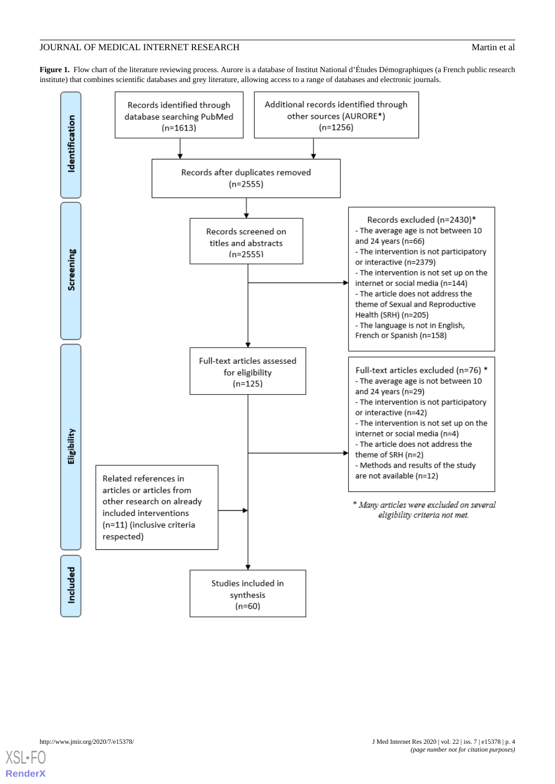# JOURNAL OF MEDICAL INTERNET RESEARCH MATCHLONEY AND MATCHLONEY MATCHLONEY MATCHLONEY AND MATCHLONEY AND MATCHLONEY AND MATCHLONEY AND MATCHLONEY AND MATCHLONEY AND MATCHLONEY AND MATCHLONEY AND MATCHLONEY AND MATCHLONEY AN

<span id="page-3-0"></span>**Figure 1.** Flow chart of the literature reviewing process. Aurore is a database of Institut National d'Études Démographiques (a French public research institute) that combines scientific databases and grey literature, allowing access to a range of databases and electronic journals.



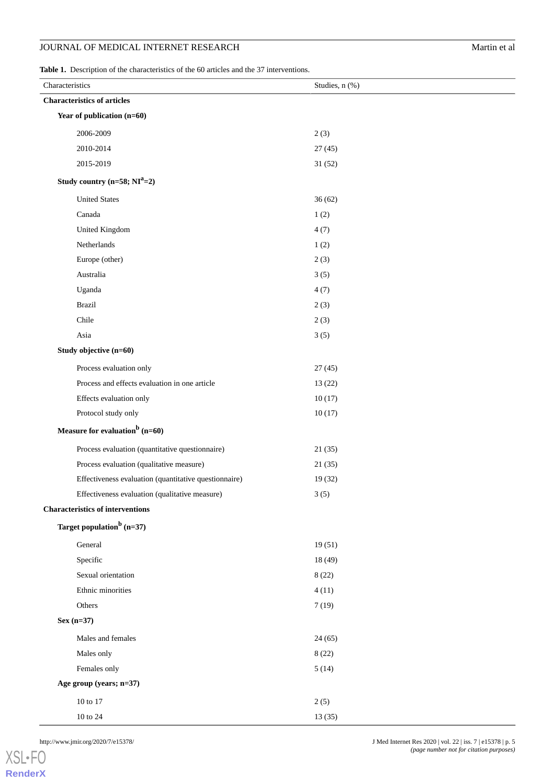<span id="page-4-0"></span>**Table 1.** Description of the characteristics of the 60 articles and the 37 interventions.

| Characteristics                                       | Studies, n (%) |
|-------------------------------------------------------|----------------|
| <b>Characteristics of articles</b>                    |                |
| Year of publication (n=60)                            |                |
| 2006-2009                                             | 2(3)           |
| 2010-2014                                             | 27(45)         |
| 2015-2019                                             | 31(52)         |
| Study country $(n=58; NIa=2)$                         |                |
| <b>United States</b>                                  | 36(62)         |
| Canada                                                | 1(2)           |
| United Kingdom                                        | 4(7)           |
| Netherlands                                           | 1(2)           |
| Europe (other)                                        | 2(3)           |
| Australia                                             | 3(5)           |
| Uganda                                                | 4(7)           |
| <b>Brazil</b>                                         | 2(3)           |
| Chile                                                 | 2(3)           |
| Asia                                                  | 3(5)           |
| Study objective (n=60)                                |                |
| Process evaluation only                               | 27(45)         |
| Process and effects evaluation in one article         | 13(22)         |
| Effects evaluation only                               | 10(17)         |
| Protocol study only                                   | 10(17)         |
| Measure for evaluation <sup>b</sup> (n=60)            |                |
| Process evaluation (quantitative questionnaire)       | 21(35)         |
| Process evaluation (qualitative measure)              | 21(35)         |
| Effectiveness evaluation (quantitative questionnaire) | 19 (32)        |
| Effectiveness evaluation (qualitative measure)        | 3(5)           |
| <b>Characteristics of interventions</b>               |                |
| Target population <sup>b</sup> (n=37)                 |                |
| General                                               | 19(51)         |
| Specific                                              | 18 (49)        |
| Sexual orientation                                    | 8(22)          |
| Ethnic minorities                                     | 4(11)          |
| Others                                                | 7(19)          |
| $Sex (n=37)$                                          |                |
| Males and females                                     | 24(65)         |
| Males only                                            | 8(22)          |
| Females only                                          | 5(14)          |
| Age group (years; n=37)                               |                |
| 10 to 17                                              | 2(5)           |
| $10$ to $24\,$                                        | 13 (35)        |

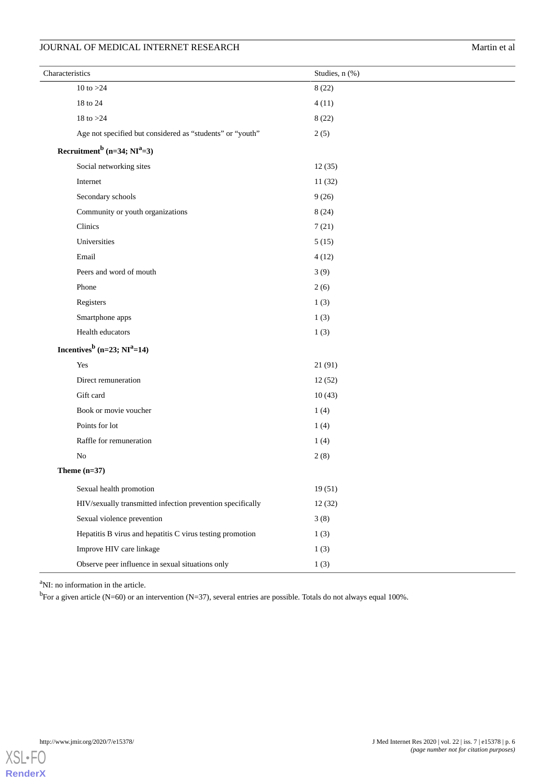| Characteristics                                            | Studies, n (%) |
|------------------------------------------------------------|----------------|
| 10 to $>24$                                                | 8(22)          |
| 18 to 24                                                   | 4(11)          |
| 18 to $>24$                                                | 8(22)          |
| Age not specified but considered as "students" or "youth"  | 2(5)           |
| Recruitment <sup>b</sup> (n=34; $NI^a=3$ )                 |                |
| Social networking sites                                    | 12(35)         |
| Internet                                                   | 11(32)         |
| Secondary schools                                          | 9(26)          |
| Community or youth organizations                           | 8(24)          |
| Clinics                                                    | 7(21)          |
| Universities                                               | 5(15)          |
| Email                                                      | 4(12)          |
| Peers and word of mouth                                    | 3(9)           |
| Phone                                                      | 2(6)           |
| Registers                                                  | 1(3)           |
| Smartphone apps                                            | 1(3)           |
| Health educators                                           | 1(3)           |
| Incentives <sup>b</sup> (n=23; $NI^a=14$ )                 |                |
| Yes                                                        | 21(91)         |
| Direct remuneration                                        | 12(52)         |
| Gift card                                                  | 10(43)         |
| Book or movie voucher                                      | 1(4)           |
| Points for lot                                             | 1(4)           |
| Raffle for remuneration                                    | 1(4)           |
| No                                                         | 2(8)           |
| Theme $(n=37)$                                             |                |
| Sexual health promotion                                    | 19(51)         |
| HIV/sexually transmitted infection prevention specifically | 12(32)         |
| Sexual violence prevention                                 | 3(8)           |
| Hepatitis B virus and hepatitis C virus testing promotion  | 1(3)           |
| Improve HIV care linkage                                   | 1(3)           |
| Observe peer influence in sexual situations only           | 1(3)           |

<sup>a</sup>NI: no information in the article.

<sup>b</sup>For a given article (N=60) or an intervention (N=37), several entries are possible. Totals do not always equal 100%.

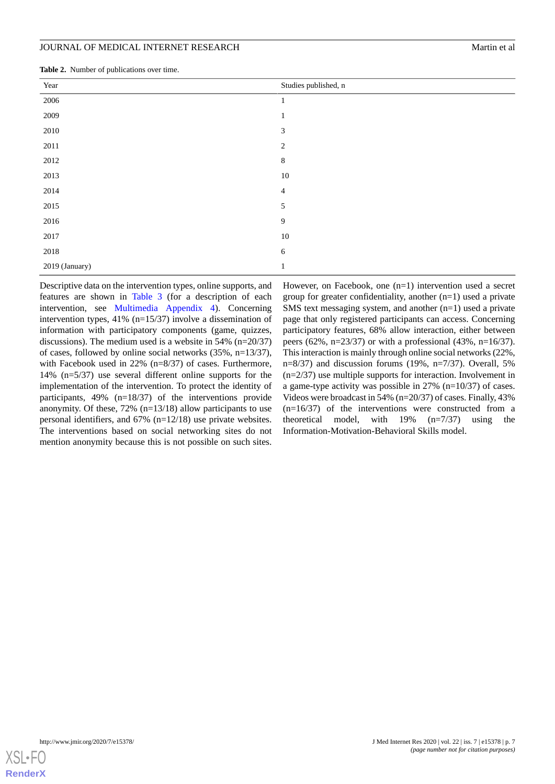<span id="page-6-0"></span>

| <b>Table 2.</b> Number of publications over time. |  |
|---------------------------------------------------|--|
|---------------------------------------------------|--|

| Year           | Studies published, n     |
|----------------|--------------------------|
| 2006           |                          |
| 2009           |                          |
| 2010           | 3                        |
| 2011           | $\overline{c}$           |
| 2012           | 8                        |
| 2013           | $10\,$                   |
| 2014           | $\overline{\mathcal{A}}$ |
| 2015           | 5                        |
| 2016           | 9                        |
| 2017           | $10\,$                   |
| 2018           | 6                        |
| 2019 (January) |                          |

Descriptive data on the intervention types, online supports, and features are shown in [Table 3](#page-7-0) (for a description of each intervention, see [Multimedia Appendix 4\)](#page-12-3). Concerning intervention types, 41% (n=15/37) involve a dissemination of information with participatory components (game, quizzes, discussions). The medium used is a website in 54% (n=20/37) of cases, followed by online social networks (35%, n=13/37), with Facebook used in 22% (n=8/37) of cases. Furthermore, 14% (n=5/37) use several different online supports for the implementation of the intervention. To protect the identity of participants, 49% (n=18/37) of the interventions provide anonymity. Of these, 72% (n=13/18) allow participants to use personal identifiers, and 67% (n=12/18) use private websites. The interventions based on social networking sites do not mention anonymity because this is not possible on such sites.

However, on Facebook, one (n=1) intervention used a secret group for greater confidentiality, another (n=1) used a private SMS text messaging system, and another (n=1) used a private page that only registered participants can access. Concerning participatory features, 68% allow interaction, either between peers (62%, n=23/37) or with a professional (43%, n=16/37). This interaction is mainly through online social networks (22%, n=8/37) and discussion forums (19%, n=7/37). Overall, 5% (n=2/37) use multiple supports for interaction. Involvement in a game-type activity was possible in 27% (n=10/37) of cases. Videos were broadcast in 54% (n=20/37) of cases. Finally, 43% (n=16/37) of the interventions were constructed from a theoretical model, with 19% (n=7/37) using the Information-Motivation-Behavioral Skills model.

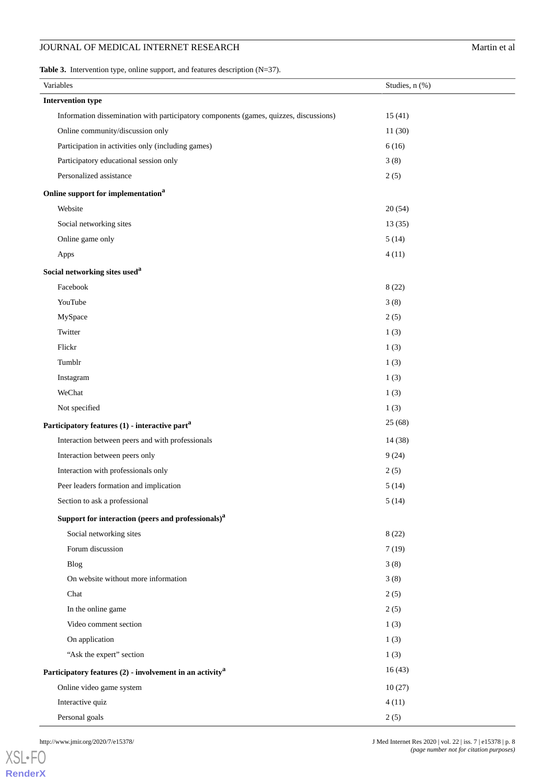<span id="page-7-0"></span>**Table 3.** Intervention type, online support, and features description (N=37).

| Variables                                                                             | Studies, n (%) |
|---------------------------------------------------------------------------------------|----------------|
| <b>Intervention type</b>                                                              |                |
| Information dissemination with participatory components (games, quizzes, discussions) | 15(41)         |
| Online community/discussion only                                                      | 11(30)         |
| Participation in activities only (including games)                                    | 6(16)          |
| Participatory educational session only                                                | 3(8)           |
| Personalized assistance                                                               | 2(5)           |
| Online support for implementation <sup>a</sup>                                        |                |
| Website                                                                               | 20(54)         |
| Social networking sites                                                               | 13(35)         |
| Online game only                                                                      | 5(14)          |
| Apps                                                                                  | 4(11)          |
| Social networking sites used <sup>a</sup>                                             |                |
| Facebook                                                                              | 8(22)          |
| YouTube                                                                               | 3(8)           |
| MySpace                                                                               | 2(5)           |
| Twitter                                                                               | 1(3)           |
| Flickr                                                                                | 1(3)           |
| Tumblr                                                                                | 1(3)           |
| Instagram                                                                             | 1(3)           |
| WeChat                                                                                | 1(3)           |
| Not specified                                                                         | 1(3)           |
| Participatory features (1) - interactive part <sup>a</sup>                            | 25(68)         |
| Interaction between peers and with professionals                                      | 14 (38)        |
| Interaction between peers only                                                        | 9(24)          |
| Interaction with professionals only                                                   | 2(5)           |
| Peer leaders formation and implication                                                | 5(14)          |
| Section to ask a professional                                                         | 5(14)          |
| Support for interaction (peers and professionals) <sup>a</sup>                        |                |
| Social networking sites                                                               | 8(22)          |
| Forum discussion                                                                      | 7(19)          |
| <b>Blog</b>                                                                           | 3(8)           |
| On website without more information                                                   | 3(8)           |
| Chat                                                                                  | 2(5)           |
| In the online game                                                                    | 2(5)           |
| Video comment section                                                                 | 1(3)           |
| On application                                                                        | 1(3)           |
| "Ask the expert" section                                                              | 1(3)           |
| Participatory features $(2)$ - involvement in an activity <sup>a</sup>                | 16(43)         |
| Online video game system                                                              | 10(27)         |
| Interactive quiz                                                                      | 4(11)          |
| Personal goals                                                                        | 2(5)           |

[XSL](http://www.w3.org/Style/XSL)•FO **[RenderX](http://www.renderx.com/)**

http://www.jmir.org/2020/7/e15378/ J Med Internet Res 2020 | vol. 22 | iss. 7 | e15378 | p. 8 *(page number not for citation purposes)*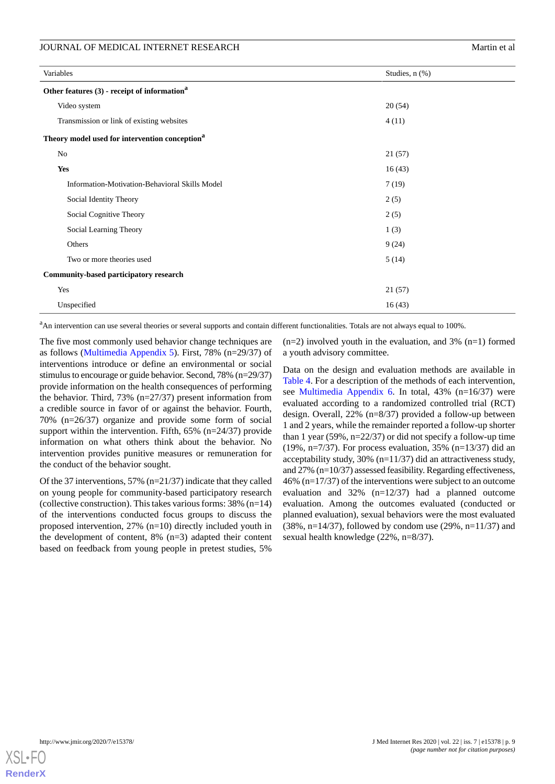| Variables                                                  | Studies, n (%) |
|------------------------------------------------------------|----------------|
| Other features (3) - receipt of information <sup>a</sup>   |                |
| Video system                                               | 20(54)         |
| Transmission or link of existing websites                  | 4(11)          |
| Theory model used for intervention conception <sup>a</sup> |                |
| $\rm No$                                                   | 21(57)         |
| <b>Yes</b>                                                 | 16(43)         |
| Information-Motivation-Behavioral Skills Model             | 7(19)          |
| Social Identity Theory                                     | 2(5)           |
| Social Cognitive Theory                                    | 2(5)           |
| Social Learning Theory                                     | 1(3)           |
| Others                                                     | 9(24)          |
| Two or more theories used                                  | 5(14)          |
| Community-based participatory research                     |                |
| Yes                                                        | 21(57)         |
| Unspecified                                                | 16(43)         |

<sup>a</sup>An intervention can use several theories or several supports and contain different functionalities. Totals are not always equal to 100%.

The five most commonly used behavior change techniques are as follows ([Multimedia Appendix 5\)](#page-12-4). First, 78% (n=29/37) of interventions introduce or define an environmental or social stimulus to encourage or guide behavior. Second, 78% (n=29/37) provide information on the health consequences of performing the behavior. Third, 73% (n=27/37) present information from a credible source in favor of or against the behavior. Fourth, 70% (n=26/37) organize and provide some form of social support within the intervention. Fifth, 65% (n=24/37) provide information on what others think about the behavior. No intervention provides punitive measures or remuneration for the conduct of the behavior sought.

Of the 37 interventions, 57% (n=21/37) indicate that they called on young people for community-based participatory research (collective construction). This takes various forms: 38% (n=14) of the interventions conducted focus groups to discuss the proposed intervention, 27% (n=10) directly included youth in the development of content, 8% (n=3) adapted their content based on feedback from young people in pretest studies, 5%

 $(n=2)$  involved youth in the evaluation, and 3%  $(n=1)$  formed a youth advisory committee.

Data on the design and evaluation methods are available in [Table 4](#page-9-0). For a description of the methods of each intervention, see [Multimedia Appendix 6](#page-13-21). In total, 43% (n=16/37) were evaluated according to a randomized controlled trial (RCT) design. Overall, 22% (n=8/37) provided a follow-up between 1 and 2 years, while the remainder reported a follow-up shorter than 1 year (59%, n=22/37) or did not specify a follow-up time (19%, n=7/37). For process evaluation, 35% (n=13/37) did an acceptability study, 30% (n=11/37) did an attractiveness study, and 27% (n=10/37) assessed feasibility. Regarding effectiveness, 46% (n=17/37) of the interventions were subject to an outcome evaluation and 32% (n=12/37) had a planned outcome evaluation. Among the outcomes evaluated (conducted or planned evaluation), sexual behaviors were the most evaluated  $(38\%, n=14/37)$ , followed by condom use  $(29\%, n=11/37)$  and sexual health knowledge (22%, n=8/37).

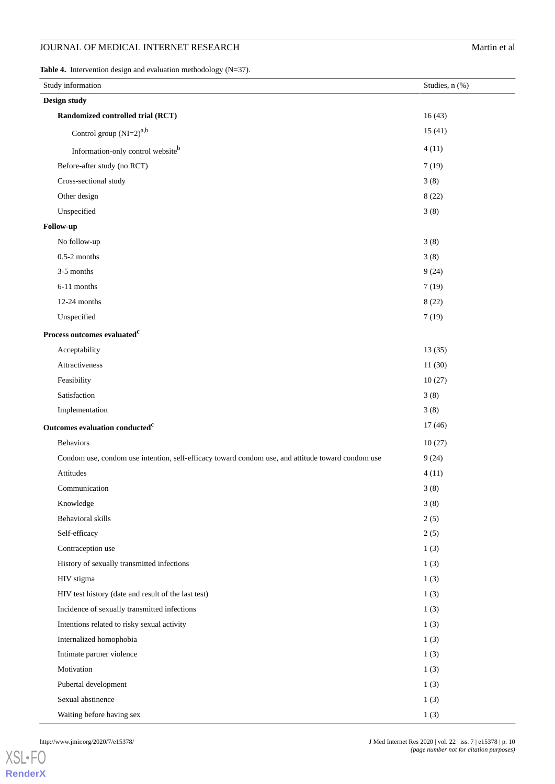<span id="page-9-0"></span>**Table 4.** Intervention design and evaluation methodology (N=37).

| Study information                                                                                 | Studies, n (%) |
|---------------------------------------------------------------------------------------------------|----------------|
| Design study                                                                                      |                |
| Randomized controlled trial (RCT)                                                                 | 16(43)         |
| Control group $(NI=2)^{a,b}$                                                                      | 15(41)         |
| Information-only control websiteb                                                                 | 4(11)          |
| Before-after study (no RCT)                                                                       | 7(19)          |
| Cross-sectional study                                                                             | 3(8)           |
| Other design                                                                                      | 8(22)          |
| Unspecified                                                                                       | 3(8)           |
| Follow-up                                                                                         |                |
| No follow-up                                                                                      | 3(8)           |
| $0.5-2$ months                                                                                    | 3(8)           |
| 3-5 months                                                                                        | 9(24)          |
| 6-11 months                                                                                       | 7(19)          |
| 12-24 months                                                                                      | 8(22)          |
| Unspecified                                                                                       | 7(19)          |
| Process outcomes evaluated <sup>c</sup>                                                           |                |
| Acceptability                                                                                     | 13(35)         |
| Attractiveness                                                                                    | 11(30)         |
| Feasibility                                                                                       | 10(27)         |
| Satisfaction                                                                                      | 3(8)           |
| Implementation                                                                                    | 3(8)           |
| Outcomes evaluation conducted <sup>c</sup>                                                        | 17(46)         |
| <b>Behaviors</b>                                                                                  | 10(27)         |
| Condom use, condom use intention, self-efficacy toward condom use, and attitude toward condom use | 9(24)          |
| Attitudes                                                                                         | 4(11)          |
| Communication                                                                                     | 3(8)           |
| Knowledge                                                                                         | 3(8)           |
| Behavioral skills                                                                                 | 2(5)           |
| Self-efficacy                                                                                     | 2(5)           |
| Contraception use                                                                                 | 1(3)           |
| History of sexually transmitted infections                                                        | 1(3)           |
| HIV stigma                                                                                        | 1(3)           |
| HIV test history (date and result of the last test)                                               | 1(3)           |
| Incidence of sexually transmitted infections                                                      | 1(3)           |
| Intentions related to risky sexual activity                                                       | 1(3)           |
| Internalized homophobia                                                                           | 1(3)           |
| Intimate partner violence                                                                         | 1(3)           |
| Motivation                                                                                        | 1(3)           |
| Pubertal development                                                                              | 1(3)           |
| Sexual abstinence                                                                                 | 1(3)           |
| Waiting before having sex                                                                         | 1(3)           |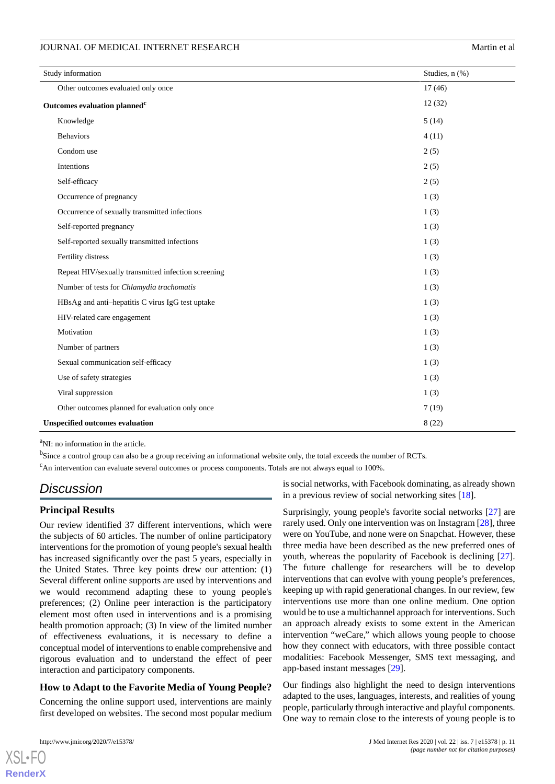| Study information                                   | Studies, n (%) |
|-----------------------------------------------------|----------------|
| Other outcomes evaluated only once                  | 17(46)         |
| Outcomes evaluation planned <sup>c</sup>            | 12(32)         |
| Knowledge                                           | 5(14)          |
| <b>Behaviors</b>                                    | 4(11)          |
| Condom use                                          | 2(5)           |
| Intentions                                          | 2(5)           |
| Self-efficacy                                       | 2(5)           |
| Occurrence of pregnancy                             | 1(3)           |
| Occurrence of sexually transmitted infections       | 1(3)           |
| Self-reported pregnancy                             | 1(3)           |
| Self-reported sexually transmitted infections       | 1(3)           |
| Fertility distress                                  | 1(3)           |
| Repeat HIV/sexually transmitted infection screening | 1(3)           |
| Number of tests for Chlamydia trachomatis           | 1(3)           |
| HBsAg and anti-hepatitis C virus IgG test uptake    | 1(3)           |
| HIV-related care engagement                         | 1(3)           |
| Motivation                                          | 1(3)           |
| Number of partners                                  | 1(3)           |
| Sexual communication self-efficacy                  | 1(3)           |
| Use of safety strategies                            | 1(3)           |
| Viral suppression                                   | 1(3)           |
| Other outcomes planned for evaluation only once     | 7(19)          |
| <b>Unspecified outcomes evaluation</b>              | 8(22)          |

<sup>a</sup>NI: no information in the article.

<sup>b</sup>Since a control group can also be a group receiving an informational website only, the total exceeds the number of RCTs.

 $c<sub>AB</sub>$  intervention can evaluate several outcomes or process components. Totals are not always equal to 100%.

# *Discussion*

#### **Principal Results**

Our review identified 37 different interventions, which were the subjects of 60 articles. The number of online participatory interventions for the promotion of young people's sexual health has increased significantly over the past 5 years, especially in the United States. Three key points drew our attention: (1) Several different online supports are used by interventions and we would recommend adapting these to young people's preferences; (2) Online peer interaction is the participatory element most often used in interventions and is a promising health promotion approach; (3) In view of the limited number of effectiveness evaluations, it is necessary to define a conceptual model of interventions to enable comprehensive and rigorous evaluation and to understand the effect of peer interaction and participatory components.

#### **How to Adapt to the Favorite Media of Young People?**

Concerning the online support used, interventions are mainly first developed on websites. The second most popular medium

is social networks, with Facebook dominating, as already shown in a previous review of social networking sites [[18\]](#page-13-17).

Surprisingly, young people's favorite social networks [\[27](#page-14-5)] are rarely used. Only one intervention was on Instagram [[28\]](#page-14-6), three were on YouTube, and none were on Snapchat. However, these three media have been described as the new preferred ones of youth, whereas the popularity of Facebook is declining [[27\]](#page-14-5). The future challenge for researchers will be to develop interventions that can evolve with young people's preferences, keeping up with rapid generational changes. In our review, few interventions use more than one online medium. One option would be to use a multichannel approach for interventions. Such an approach already exists to some extent in the American intervention "weCare," which allows young people to choose how they connect with educators, with three possible contact modalities: Facebook Messenger, SMS text messaging, and app-based instant messages [\[29](#page-14-7)].

Our findings also highlight the need to design interventions adapted to the uses, languages, interests, and realities of young people, particularly through interactive and playful components. One way to remain close to the interests of young people is to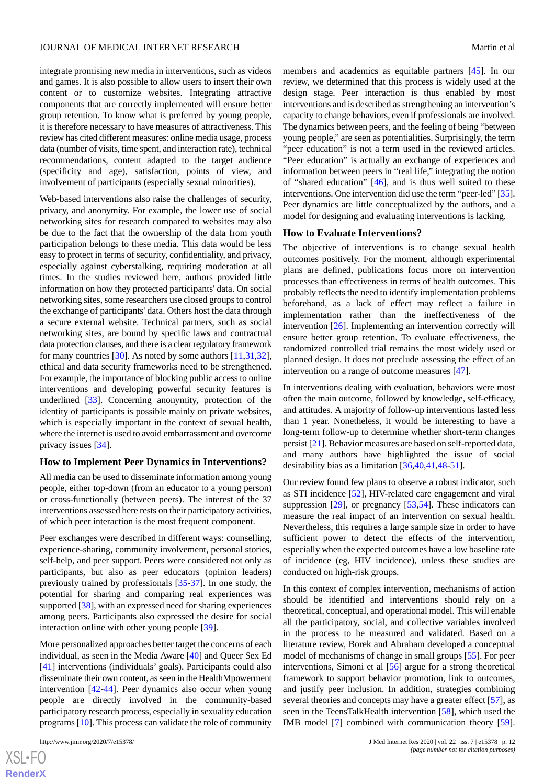integrate promising new media in interventions, such as videos and games. It is also possible to allow users to insert their own content or to customize websites. Integrating attractive components that are correctly implemented will ensure better group retention. To know what is preferred by young people, it is therefore necessary to have measures of attractiveness. This review has cited different measures: online media usage, process data (number of visits, time spent, and interaction rate), technical recommendations, content adapted to the target audience (specificity and age), satisfaction, points of view, and involvement of participants (especially sexual minorities).

Web-based interventions also raise the challenges of security, privacy, and anonymity. For example, the lower use of social networking sites for research compared to websites may also be due to the fact that the ownership of the data from youth participation belongs to these media. This data would be less easy to protect in terms of security, confidentiality, and privacy, especially against cyberstalking, requiring moderation at all times. In the studies reviewed here, authors provided little information on how they protected participants' data. On social networking sites, some researchers use closed groups to control the exchange of participants' data. Others host the data through a secure external website. Technical partners, such as social networking sites, are bound by specific laws and contractual data protection clauses, and there is a clear regulatory framework for many countries [\[30](#page-14-8)]. As noted by some authors [[11](#page-13-10)[,31](#page-14-9),[32\]](#page-14-10), ethical and data security frameworks need to be strengthened. For example, the importance of blocking public access to online interventions and developing powerful security features is underlined [\[33](#page-14-11)]. Concerning anonymity, protection of the identity of participants is possible mainly on private websites, which is especially important in the context of sexual health, where the internet is used to avoid embarrassment and overcome privacy issues [\[34](#page-14-12)].

#### **How to Implement Peer Dynamics in Interventions?**

All media can be used to disseminate information among young people, either top-down (from an educator to a young person) or cross-functionally (between peers). The interest of the 37 interventions assessed here rests on their participatory activities, of which peer interaction is the most frequent component.

Peer exchanges were described in different ways: counselling, experience-sharing, community involvement, personal stories, self-help, and peer support. Peers were considered not only as participants, but also as peer educators (opinion leaders) previously trained by professionals [\[35](#page-14-13)[-37](#page-14-14)]. In one study, the potential for sharing and comparing real experiences was supported [\[38](#page-14-15)], with an expressed need for sharing experiences among peers. Participants also expressed the desire for social interaction online with other young people [[39\]](#page-14-16).

More personalized approaches better target the concerns of each individual, as seen in the Media Aware [\[40](#page-14-17)] and Queer Sex Ed [[41\]](#page-14-18) interventions (individuals' goals). Participants could also disseminate their own content, as seen in the HealthMpowerment intervention [[42](#page-14-19)[-44](#page-15-0)]. Peer dynamics also occur when young people are directly involved in the community-based participatory research process, especially in sexuality education programs [[10\]](#page-13-9). This process can validate the role of community

[XSL](http://www.w3.org/Style/XSL)•FO **[RenderX](http://www.renderx.com/)**

members and academics as equitable partners [[45\]](#page-15-1). In our review, we determined that this process is widely used at the design stage. Peer interaction is thus enabled by most interventions and is described as strengthening an intervention's capacity to change behaviors, even if professionals are involved. The dynamics between peers, and the feeling of being "between young people," are seen as potentialities. Surprisingly, the term "peer education" is not a term used in the reviewed articles. "Peer education" is actually an exchange of experiences and information between peers in "real life," integrating the notion of "shared education" [\[46](#page-15-2)], and is thus well suited to these interventions. One intervention did use the term "peer-led" [\[35\]](#page-14-13). Peer dynamics are little conceptualized by the authors, and a model for designing and evaluating interventions is lacking.

#### **How to Evaluate Interventions?**

The objective of interventions is to change sexual health outcomes positively. For the moment, although experimental plans are defined, publications focus more on intervention processes than effectiveness in terms of health outcomes. This probably reflects the need to identify implementation problems beforehand, as a lack of effect may reflect a failure in implementation rather than the ineffectiveness of the intervention [[26\]](#page-14-4). Implementing an intervention correctly will ensure better group retention. To evaluate effectiveness, the randomized controlled trial remains the most widely used or planned design. It does not preclude assessing the effect of an intervention on a range of outcome measures [\[47](#page-15-3)].

In interventions dealing with evaluation, behaviors were most often the main outcome, followed by knowledge, self-efficacy, and attitudes. A majority of follow-up interventions lasted less than 1 year. Nonetheless, it would be interesting to have a long-term follow-up to determine whether short-term changes persist [[21\]](#page-13-20). Behavior measures are based on self-reported data, and many authors have highlighted the issue of social desirability bias as a limitation [\[36](#page-14-20),[40,](#page-14-17)[41](#page-14-18),[48-](#page-15-4)[51](#page-15-5)].

Our review found few plans to observe a robust indicator, such as STI incidence [\[52](#page-15-6)], HIV-related care engagement and viral suppression [[29\]](#page-14-7), or pregnancy [[53](#page-15-7)[,54](#page-15-8)]. These indicators can measure the real impact of an intervention on sexual health. Nevertheless, this requires a large sample size in order to have sufficient power to detect the effects of the intervention, especially when the expected outcomes have a low baseline rate of incidence (eg, HIV incidence), unless these studies are conducted on high-risk groups.

In this context of complex intervention, mechanisms of action should be identified and interventions should rely on a theoretical, conceptual, and operational model. This will enable all the participatory, social, and collective variables involved in the process to be measured and validated. Based on a literature review, Borek and Abraham developed a conceptual model of mechanisms of change in small groups [\[55](#page-15-9)]. For peer interventions, Simoni et al [[56\]](#page-15-10) argue for a strong theoretical framework to support behavior promotion, link to outcomes, and justify peer inclusion. In addition, strategies combining several theories and concepts may have a greater effect [\[57](#page-15-11)], as seen in the TeensTalkHealth intervention [[58\]](#page-15-12), which used the IMB model [\[7](#page-13-6)] combined with communication theory [[59\]](#page-15-13).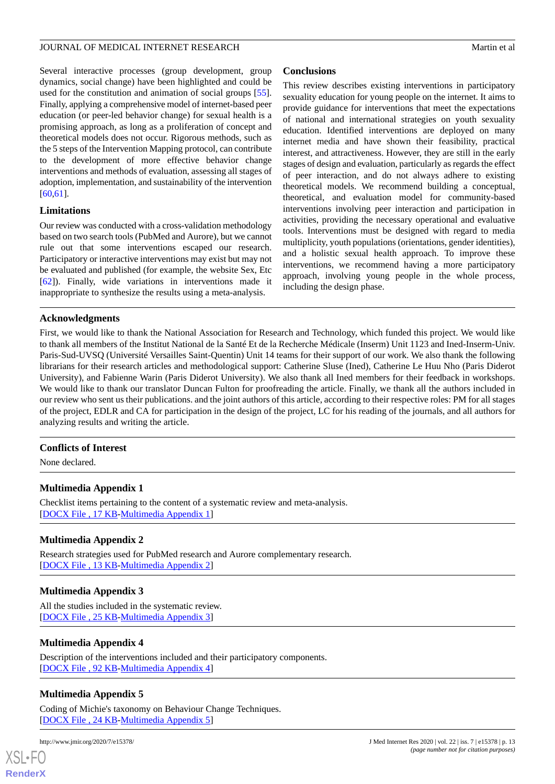Several interactive processes (group development, group dynamics, social change) have been highlighted and could be used for the constitution and animation of social groups [[55\]](#page-15-9). Finally, applying a comprehensive model of internet-based peer education (or peer-led behavior change) for sexual health is a promising approach, as long as a proliferation of concept and theoretical models does not occur. Rigorous methods, such as the 5 steps of the Intervention Mapping protocol, can contribute to the development of more effective behavior change interventions and methods of evaluation, assessing all stages of adoption, implementation, and sustainability of the intervention [[60](#page-15-14)[,61](#page-15-15)].

#### **Limitations**

Our review was conducted with a cross-validation methodology based on two search tools (PubMed and Aurore), but we cannot rule out that some interventions escaped our research. Participatory or interactive interventions may exist but may not be evaluated and published (for example, the website Sex, Etc [[62\]](#page-15-16)). Finally, wide variations in interventions made it inappropriate to synthesize the results using a meta-analysis.

# **Conclusions**

This review describes existing interventions in participatory sexuality education for young people on the internet. It aims to provide guidance for interventions that meet the expectations of national and international strategies on youth sexuality education. Identified interventions are deployed on many internet media and have shown their feasibility, practical interest, and attractiveness. However, they are still in the early stages of design and evaluation, particularly as regards the effect of peer interaction, and do not always adhere to existing theoretical models. We recommend building a conceptual, theoretical, and evaluation model for community-based interventions involving peer interaction and participation in activities, providing the necessary operational and evaluative tools. Interventions must be designed with regard to media multiplicity, youth populations (orientations, gender identities), and a holistic sexual health approach. To improve these interventions, we recommend having a more participatory approach, involving young people in the whole process, including the design phase.

# **Acknowledgments**

First, we would like to thank the National Association for Research and Technology, which funded this project. We would like to thank all members of the Institut National de la Santé Et de la Recherche Médicale (Inserm) Unit 1123 and Ined-Inserm-Univ. Paris-Sud-UVSQ (Université Versailles Saint-Quentin) Unit 14 teams for their support of our work. We also thank the following librarians for their research articles and methodological support: Catherine Sluse (Ined), Catherine Le Huu Nho (Paris Diderot University), and Fabienne Warin (Paris Diderot University). We also thank all Ined members for their feedback in workshops. We would like to thank our translator Duncan Fulton for proofreading the article. Finally, we thank all the authors included in our review who sent us their publications. and the joint authors of this article, according to their respective roles: PM for all stages of the project, EDLR and CA for participation in the design of the project, LC for his reading of the journals, and all authors for analyzing results and writing the article.

# <span id="page-12-0"></span>**Conflicts of Interest**

None declared.

# <span id="page-12-1"></span>**Multimedia Appendix 1**

Checklist items pertaining to the content of a systematic review and meta-analysis. [[DOCX File , 17 KB](https://jmir.org/api/download?alt_name=jmir_v22i7e15378_app1.docx&filename=3fb17ef1823424a7071ca971db0fc809.docx)-[Multimedia Appendix 1\]](https://jmir.org/api/download?alt_name=jmir_v22i7e15378_app1.docx&filename=3fb17ef1823424a7071ca971db0fc809.docx)

# <span id="page-12-2"></span>**Multimedia Appendix 2**

Research strategies used for PubMed research and Aurore complementary research. [[DOCX File , 13 KB](https://jmir.org/api/download?alt_name=jmir_v22i7e15378_app2.docx&filename=f064376c9e081f4b888b68c75d1ffc9e.docx)-[Multimedia Appendix 2\]](https://jmir.org/api/download?alt_name=jmir_v22i7e15378_app2.docx&filename=f064376c9e081f4b888b68c75d1ffc9e.docx)

# <span id="page-12-3"></span>**Multimedia Appendix 3**

<span id="page-12-4"></span>All the studies included in the systematic review. [[DOCX File , 25 KB](https://jmir.org/api/download?alt_name=jmir_v22i7e15378_app3.docx&filename=d17a8dfed0b859fecff9a0fe231d84f3.docx)-[Multimedia Appendix 3\]](https://jmir.org/api/download?alt_name=jmir_v22i7e15378_app3.docx&filename=d17a8dfed0b859fecff9a0fe231d84f3.docx)

#### **Multimedia Appendix 4**

Description of the interventions included and their participatory components. [[DOCX File , 92 KB](https://jmir.org/api/download?alt_name=jmir_v22i7e15378_app4.docx&filename=1a59ff9d443a8d7218c3c4d8ce39ec30.docx)-[Multimedia Appendix 4\]](https://jmir.org/api/download?alt_name=jmir_v22i7e15378_app4.docx&filename=1a59ff9d443a8d7218c3c4d8ce39ec30.docx)

#### **Multimedia Appendix 5**

Coding of Michie's taxonomy on Behaviour Change Techniques. [[DOCX File , 24 KB](https://jmir.org/api/download?alt_name=jmir_v22i7e15378_app5.docx&filename=895865c16e3a07b5e64ff95aad33ab02.docx)-[Multimedia Appendix 5\]](https://jmir.org/api/download?alt_name=jmir_v22i7e15378_app5.docx&filename=895865c16e3a07b5e64ff95aad33ab02.docx)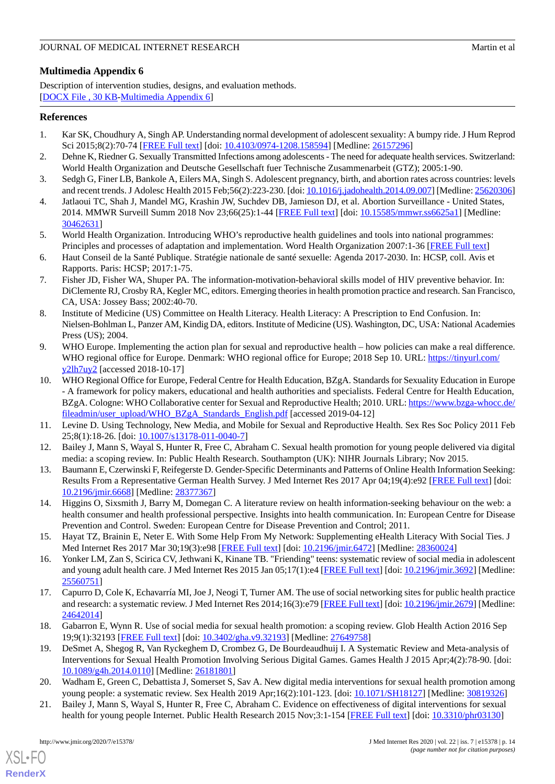# <span id="page-13-21"></span>**Multimedia Appendix 6**

Description of intervention studies, designs, and evaluation methods. [[DOCX File , 30 KB](https://jmir.org/api/download?alt_name=jmir_v22i7e15378_app6.docx&filename=241fb5f03a77a62734ac7d13d21c418a.docx)-[Multimedia Appendix 6\]](https://jmir.org/api/download?alt_name=jmir_v22i7e15378_app6.docx&filename=241fb5f03a77a62734ac7d13d21c418a.docx)

# <span id="page-13-0"></span>**References**

- <span id="page-13-1"></span>1. Kar SK, Choudhury A, Singh AP. Understanding normal development of adolescent sexuality: A bumpy ride. J Hum Reprod Sci 2015;8(2):70-74 [\[FREE Full text\]](http://www.jhrsonline.org/article.asp?issn=0974-1208;year=2015;volume=8;issue=2;spage=70;epage=74;aulast=Kar) [doi: [10.4103/0974-1208.158594\]](http://dx.doi.org/10.4103/0974-1208.158594) [Medline: [26157296\]](http://www.ncbi.nlm.nih.gov/entrez/query.fcgi?cmd=Retrieve&db=PubMed&list_uids=26157296&dopt=Abstract)
- <span id="page-13-2"></span>2. Dehne K, Riedner G. Sexually Transmitted Infections among adolescents - The need for adequate health services. Switzerland: World Health Organization and Deutsche Gesellschaft fuer Technische Zusammenarbeit (GTZ); 2005:1-90.
- <span id="page-13-3"></span>3. Sedgh G, Finer LB, Bankole A, Eilers MA, Singh S. Adolescent pregnancy, birth, and abortion rates across countries: levels and recent trends. J Adolesc Health 2015 Feb;56(2):223-230. [doi: [10.1016/j.jadohealth.2014.09.007](http://dx.doi.org/10.1016/j.jadohealth.2014.09.007)] [Medline: [25620306](http://www.ncbi.nlm.nih.gov/entrez/query.fcgi?cmd=Retrieve&db=PubMed&list_uids=25620306&dopt=Abstract)]
- <span id="page-13-4"></span>4. Jatlaoui TC, Shah J, Mandel MG, Krashin JW, Suchdev DB, Jamieson DJ, et al. Abortion Surveillance - United States, 2014. MMWR Surveill Summ 2018 Nov 23;66(25):1-44 [[FREE Full text](http://europepmc.org/abstract/MED/30462631)] [doi: [10.15585/mmwr.ss6625a1](http://dx.doi.org/10.15585/mmwr.ss6625a1)] [Medline: [30462631](http://www.ncbi.nlm.nih.gov/entrez/query.fcgi?cmd=Retrieve&db=PubMed&list_uids=30462631&dopt=Abstract)]
- <span id="page-13-5"></span>5. World Health Organization. Introducing WHO's reproductive health guidelines and tools into national programmes: Principles and processes of adaptation and implementation. Word Health Organization 2007:1-36 [[FREE Full text\]](https://apps.who.int/iris/bitstream/handle/10665/69878/WHO_RHR_07.9_eng.pdf?sequence=1)
- <span id="page-13-6"></span>6. Haut Conseil de la Santé Publique. Stratégie nationale de santé sexuelle: Agenda 2017-2030. In: HCSP, coll. Avis et Rapports. Paris: HCSP; 2017:1-75.
- <span id="page-13-7"></span>7. Fisher JD, Fisher WA, Shuper PA. The information-motivation-behavioral skills model of HIV preventive behavior. In: DiClemente RJ, Crosby RA, Kegler MC, editors. Emerging theories in health promotion practice and research. San Francisco, CA, USA: Jossey Bass; 2002:40-70.
- <span id="page-13-8"></span>8. Institute of Medicine (US) Committee on Health Literacy. Health Literacy: A Prescription to End Confusion. In: Nielsen-Bohlman L, Panzer AM, Kindig DA, editors. Institute of Medicine (US). Washington, DC, USA: National Academies Press (US); 2004.
- <span id="page-13-9"></span>9. WHO Europe. Implementing the action plan for sexual and reproductive health – how policies can make a real difference. WHO regional office for Europe. Denmark: WHO regional office for Europe; 2018 Sep 10. URL: [https://tinyurl.com/](http://www.euro.who.int/en/health-topics/Life-stages/sexual-and-reproductive-health/news/news/2018/09/implementing-the-action-plan-for-sexual-and-reproductive-health-how-policies-can-make-a-real-difference) [y2lh7uy2](http://www.euro.who.int/en/health-topics/Life-stages/sexual-and-reproductive-health/news/news/2018/09/implementing-the-action-plan-for-sexual-and-reproductive-health-how-policies-can-make-a-real-difference) [accessed 2018-10-17]
- <span id="page-13-10"></span>10. WHO Regional Office for Europe, Federal Centre for Health Education, BZgA. Standards for Sexuality Education in Europe - A framework for policy makers, educational and health authorities and specialists. Federal Centre for Health Education, BZgA. Cologne: WHO Collaborative center for Sexual and Reproductive Health; 2010. URL: [https://www.bzga-whocc.de/](https://www.bzga-whocc.de/fileadmin/user_upload/WHO_BZgA_Standards_English.pdf) [fileadmin/user\\_upload/WHO\\_BZgA\\_Standards\\_English.pdf](https://www.bzga-whocc.de/fileadmin/user_upload/WHO_BZgA_Standards_English.pdf) [accessed 2019-04-12]
- <span id="page-13-12"></span><span id="page-13-11"></span>11. Levine D. Using Technology, New Media, and Mobile for Sexual and Reproductive Health. Sex Res Soc Policy 2011 Feb 25;8(1):18-26. [doi: [10.1007/s13178-011-0040-7\]](http://dx.doi.org/10.1007/s13178-011-0040-7)
- <span id="page-13-13"></span>12. Bailey J, Mann S, Wayal S, Hunter R, Free C, Abraham C. Sexual health promotion for young people delivered via digital media: a scoping review. In: Public Health Research. Southampton (UK): NIHR Journals Library; Nov 2015.
- <span id="page-13-14"></span>13. Baumann E, Czerwinski F, Reifegerste D. Gender-Specific Determinants and Patterns of Online Health Information Seeking: Results From a Representative German Health Survey. J Med Internet Res 2017 Apr 04;19(4):e92 [[FREE Full text](https://www.jmir.org/2017/4/e92/)] [doi: [10.2196/jmir.6668](http://dx.doi.org/10.2196/jmir.6668)] [Medline: [28377367](http://www.ncbi.nlm.nih.gov/entrez/query.fcgi?cmd=Retrieve&db=PubMed&list_uids=28377367&dopt=Abstract)]
- <span id="page-13-15"></span>14. Higgins O, Sixsmith J, Barry M, Domegan C. A literature review on health information-seeking behaviour on the web: a health consumer and health professional perspective. Insights into health communication. In: European Centre for Disease Prevention and Control. Sweden: European Centre for Disease Prevention and Control; 2011.
- <span id="page-13-16"></span>15. Hayat TZ, Brainin E, Neter E. With Some Help From My Network: Supplementing eHealth Literacy With Social Ties. J Med Internet Res 2017 Mar 30;19(3):e98 [[FREE Full text](http://www.jmir.org/2017/3/e98/)] [doi: [10.2196/jmir.6472](http://dx.doi.org/10.2196/jmir.6472)] [Medline: [28360024\]](http://www.ncbi.nlm.nih.gov/entrez/query.fcgi?cmd=Retrieve&db=PubMed&list_uids=28360024&dopt=Abstract)
- <span id="page-13-17"></span>16. Yonker LM, Zan S, Scirica CV, Jethwani K, Kinane TB. "Friending" teens: systematic review of social media in adolescent and young adult health care. J Med Internet Res 2015 Jan 05;17(1):e4 [[FREE Full text](https://www.jmir.org/2015/1/e4/)] [doi: [10.2196/jmir.3692\]](http://dx.doi.org/10.2196/jmir.3692) [Medline: [25560751](http://www.ncbi.nlm.nih.gov/entrez/query.fcgi?cmd=Retrieve&db=PubMed&list_uids=25560751&dopt=Abstract)]
- <span id="page-13-18"></span>17. Capurro D, Cole K, Echavarría MI, Joe J, Neogi T, Turner AM. The use of social networking sites for public health practice and research: a systematic review. J Med Internet Res 2014;16(3):e79 [[FREE Full text](http://www.jmir.org/2014/3/e79/)] [doi: [10.2196/jmir.2679\]](http://dx.doi.org/10.2196/jmir.2679) [Medline: [24642014](http://www.ncbi.nlm.nih.gov/entrez/query.fcgi?cmd=Retrieve&db=PubMed&list_uids=24642014&dopt=Abstract)]
- <span id="page-13-20"></span><span id="page-13-19"></span>18. Gabarron E, Wynn R. Use of social media for sexual health promotion: a scoping review. Glob Health Action 2016 Sep 19;9(1):32193 [[FREE Full text\]](http://europepmc.org/abstract/MED/27649758) [doi: [10.3402/gha.v9.32193\]](http://dx.doi.org/10.3402/gha.v9.32193) [Medline: [27649758\]](http://www.ncbi.nlm.nih.gov/entrez/query.fcgi?cmd=Retrieve&db=PubMed&list_uids=27649758&dopt=Abstract)
- 19. DeSmet A, Shegog R, Van Ryckeghem D, Crombez G, De Bourdeaudhuij I. A Systematic Review and Meta-analysis of Interventions for Sexual Health Promotion Involving Serious Digital Games. Games Health J 2015 Apr;4(2):78-90. [doi: [10.1089/g4h.2014.0110\]](http://dx.doi.org/10.1089/g4h.2014.0110) [Medline: [26181801\]](http://www.ncbi.nlm.nih.gov/entrez/query.fcgi?cmd=Retrieve&db=PubMed&list_uids=26181801&dopt=Abstract)
- 20. Wadham E, Green C, Debattista J, Somerset S, Sav A. New digital media interventions for sexual health promotion among young people: a systematic review. Sex Health 2019 Apr;16(2):101-123. [doi: [10.1071/SH18127](http://dx.doi.org/10.1071/SH18127)] [Medline: [30819326](http://www.ncbi.nlm.nih.gov/entrez/query.fcgi?cmd=Retrieve&db=PubMed&list_uids=30819326&dopt=Abstract)]
- 21. Bailey J, Mann S, Wayal S, Hunter R, Free C, Abraham C. Evidence on effectiveness of digital interventions for sexual health for young people Internet. Public Health Research 2015 Nov;3:1-154 [\[FREE Full text](https://www.ncbi.nlm.nih.gov/books/NBK326984/pdf/Bookshelf_NBK326984.pdf)] [doi: [10.3310/phr03130](http://dx.doi.org/10.3310/phr03130)]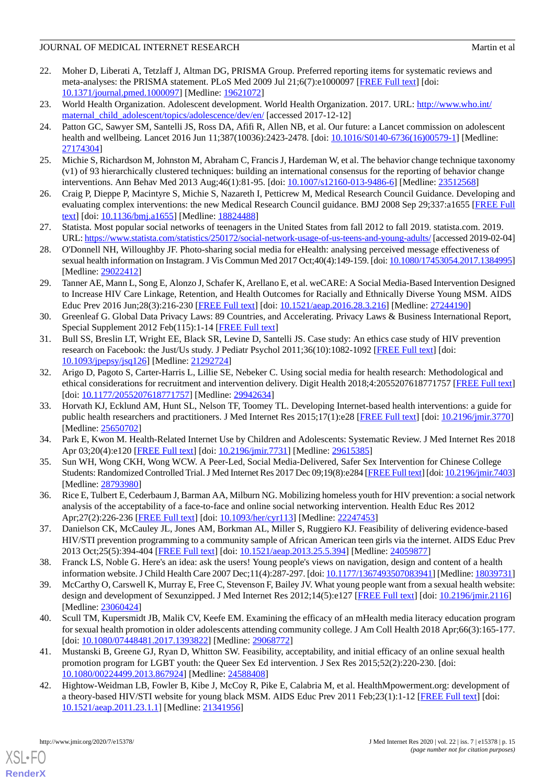# JOURNAL OF MEDICAL INTERNET RESEARCH MATCHLONEY AND MATCHLONEY MATCHLONEY MATCHLONEY AND MATCHLONEY AND MATCHLONEY AND MATCHLONEY AND MATCHLONEY AND MATCHLONEY AND MATCHLONEY AND MATCHLONEY AND MATCHLONEY AND MATCHLONEY AN

- <span id="page-14-0"></span>22. Moher D, Liberati A, Tetzlaff J, Altman DG, PRISMA Group. Preferred reporting items for systematic reviews and meta-analyses: the PRISMA statement. PLoS Med 2009 Jul 21;6(7):e1000097 [[FREE Full text](http://dx.plos.org/10.1371/journal.pmed.1000097)] [doi: [10.1371/journal.pmed.1000097](http://dx.doi.org/10.1371/journal.pmed.1000097)] [Medline: [19621072](http://www.ncbi.nlm.nih.gov/entrez/query.fcgi?cmd=Retrieve&db=PubMed&list_uids=19621072&dopt=Abstract)]
- <span id="page-14-2"></span><span id="page-14-1"></span>23. World Health Organization. Adolescent development. World Health Organization. 2017. URL: [http://www.who.int/](http://www.who.int/maternal_child_adolescent/topics/adolescence/dev/en/) [maternal\\_child\\_adolescent/topics/adolescence/dev/en/](http://www.who.int/maternal_child_adolescent/topics/adolescence/dev/en/) [accessed 2017-12-12]
- 24. Patton GC, Sawyer SM, Santelli JS, Ross DA, Afifi R, Allen NB, et al. Our future: a Lancet commission on adolescent health and wellbeing. Lancet 2016 Jun 11;387(10036):2423-2478. [doi: [10.1016/S0140-6736\(16\)00579-1\]](http://dx.doi.org/10.1016/S0140-6736(16)00579-1) [Medline: [27174304](http://www.ncbi.nlm.nih.gov/entrez/query.fcgi?cmd=Retrieve&db=PubMed&list_uids=27174304&dopt=Abstract)]
- <span id="page-14-4"></span><span id="page-14-3"></span>25. Michie S, Richardson M, Johnston M, Abraham C, Francis J, Hardeman W, et al. The behavior change technique taxonomy (v1) of 93 hierarchically clustered techniques: building an international consensus for the reporting of behavior change interventions. Ann Behav Med 2013 Aug;46(1):81-95. [doi: [10.1007/s12160-013-9486-6\]](http://dx.doi.org/10.1007/s12160-013-9486-6) [Medline: [23512568\]](http://www.ncbi.nlm.nih.gov/entrez/query.fcgi?cmd=Retrieve&db=PubMed&list_uids=23512568&dopt=Abstract)
- <span id="page-14-5"></span>26. Craig P, Dieppe P, Macintyre S, Michie S, Nazareth I, Petticrew M, Medical Research Council Guidance. Developing and evaluating complex interventions: the new Medical Research Council guidance. BMJ 2008 Sep 29;337:a1655 [[FREE Full](http://europepmc.org/abstract/MED/18824488) [text](http://europepmc.org/abstract/MED/18824488)] [doi: [10.1136/bmj.a1655](http://dx.doi.org/10.1136/bmj.a1655)] [Medline: [18824488](http://www.ncbi.nlm.nih.gov/entrez/query.fcgi?cmd=Retrieve&db=PubMed&list_uids=18824488&dopt=Abstract)]
- <span id="page-14-6"></span>27. Statista. Most popular social networks of teenagers in the United States from fall 2012 to fall 2019. statista.com. 2019. URL:<https://www.statista.com/statistics/250172/social-network-usage-of-us-teens-and-young-adults/> [accessed 2019-02-04]
- <span id="page-14-7"></span>28. O'Donnell NH, Willoughby JF. Photo-sharing social media for eHealth: analysing perceived message effectiveness of sexual health information on Instagram. J Vis Commun Med 2017 Oct;40(4):149-159. [doi: [10.1080/17453054.2017.1384995\]](http://dx.doi.org/10.1080/17453054.2017.1384995) [Medline: [29022412](http://www.ncbi.nlm.nih.gov/entrez/query.fcgi?cmd=Retrieve&db=PubMed&list_uids=29022412&dopt=Abstract)]
- <span id="page-14-8"></span>29. Tanner AE, Mann L, Song E, Alonzo J, Schafer K, Arellano E, et al. weCARE: A Social Media-Based Intervention Designed to Increase HIV Care Linkage, Retention, and Health Outcomes for Racially and Ethnically Diverse Young MSM. AIDS Educ Prev 2016 Jun;28(3):216-230 [[FREE Full text](http://europepmc.org/abstract/MED/27244190)] [doi: [10.1521/aeap.2016.28.3.216](http://dx.doi.org/10.1521/aeap.2016.28.3.216)] [Medline: [27244190\]](http://www.ncbi.nlm.nih.gov/entrez/query.fcgi?cmd=Retrieve&db=PubMed&list_uids=27244190&dopt=Abstract)
- <span id="page-14-9"></span>30. Greenleaf G. Global Data Privacy Laws: 89 Countries, and Accelerating. Privacy Laws & Business International Report, Special Supplement 2012 Feb(115):1-14 [[FREE Full text](https://papers.ssrn.com/sol3/papers.cfm?abstract_id=2000034#)]
- <span id="page-14-10"></span>31. Bull SS, Breslin LT, Wright EE, Black SR, Levine D, Santelli JS. Case study: An ethics case study of HIV prevention research on Facebook: the Just/Us study. J Pediatr Psychol 2011;36(10):1082-1092 [\[FREE Full text\]](http://jpepsy.oxfordjournals.org/cgi/pmidlookup?view=long&pmid=21292724) [doi: [10.1093/jpepsy/jsq126](http://dx.doi.org/10.1093/jpepsy/jsq126)] [Medline: [21292724](http://www.ncbi.nlm.nih.gov/entrez/query.fcgi?cmd=Retrieve&db=PubMed&list_uids=21292724&dopt=Abstract)]
- <span id="page-14-11"></span>32. Arigo D, Pagoto S, Carter-Harris L, Lillie SE, Nebeker C. Using social media for health research: Methodological and ethical considerations for recruitment and intervention delivery. Digit Health 2018;4:2055207618771757 [[FREE Full text](http://europepmc.org/abstract/MED/29942634)] [doi: [10.1177/2055207618771757](http://dx.doi.org/10.1177/2055207618771757)] [Medline: [29942634\]](http://www.ncbi.nlm.nih.gov/entrez/query.fcgi?cmd=Retrieve&db=PubMed&list_uids=29942634&dopt=Abstract)
- <span id="page-14-13"></span><span id="page-14-12"></span>33. Horvath KJ, Ecklund AM, Hunt SL, Nelson TF, Toomey TL. Developing Internet-based health interventions: a guide for public health researchers and practitioners. J Med Internet Res 2015;17(1):e28 [\[FREE Full text\]](http://www.jmir.org/2015/1/e28/) [doi: [10.2196/jmir.3770\]](http://dx.doi.org/10.2196/jmir.3770) [Medline: [25650702](http://www.ncbi.nlm.nih.gov/entrez/query.fcgi?cmd=Retrieve&db=PubMed&list_uids=25650702&dopt=Abstract)]
- <span id="page-14-20"></span>34. Park E, Kwon M. Health-Related Internet Use by Children and Adolescents: Systematic Review. J Med Internet Res 2018 Apr 03;20(4):e120 [\[FREE Full text\]](http://www.jmir.org/2018/4/e120/) [doi: [10.2196/jmir.7731\]](http://dx.doi.org/10.2196/jmir.7731) [Medline: [29615385](http://www.ncbi.nlm.nih.gov/entrez/query.fcgi?cmd=Retrieve&db=PubMed&list_uids=29615385&dopt=Abstract)]
- <span id="page-14-14"></span>35. Sun WH, Wong CKH, Wong WCW. A Peer-Led, Social Media-Delivered, Safer Sex Intervention for Chinese College Students: Randomized Controlled Trial. J Med Internet Res 2017 Dec 09;19(8):e284 [[FREE Full text](http://www.jmir.org/2017/8/e284/)] [doi: [10.2196/jmir.7403\]](http://dx.doi.org/10.2196/jmir.7403) [Medline: [28793980](http://www.ncbi.nlm.nih.gov/entrez/query.fcgi?cmd=Retrieve&db=PubMed&list_uids=28793980&dopt=Abstract)]
- <span id="page-14-15"></span>36. Rice E, Tulbert E, Cederbaum J, Barman AA, Milburn NG. Mobilizing homeless youth for HIV prevention: a social network analysis of the acceptability of a face-to-face and online social networking intervention. Health Educ Res 2012 Apr;27(2):226-236 [\[FREE Full text\]](http://her.oxfordjournals.org/cgi/pmidlookup?view=long&pmid=22247453) [doi: [10.1093/her/cyr113](http://dx.doi.org/10.1093/her/cyr113)] [Medline: [22247453](http://www.ncbi.nlm.nih.gov/entrez/query.fcgi?cmd=Retrieve&db=PubMed&list_uids=22247453&dopt=Abstract)]
- <span id="page-14-16"></span>37. Danielson CK, McCauley JL, Jones AM, Borkman AL, Miller S, Ruggiero KJ. Feasibility of delivering evidence-based HIV/STI prevention programming to a community sample of African American teen girls via the internet. AIDS Educ Prev 2013 Oct;25(5):394-404 [[FREE Full text](http://europepmc.org/abstract/MED/24059877)] [doi: [10.1521/aeap.2013.25.5.394](http://dx.doi.org/10.1521/aeap.2013.25.5.394)] [Medline: [24059877\]](http://www.ncbi.nlm.nih.gov/entrez/query.fcgi?cmd=Retrieve&db=PubMed&list_uids=24059877&dopt=Abstract)
- <span id="page-14-17"></span>38. Franck LS, Noble G. Here's an idea: ask the users! Young people's views on navigation, design and content of a health information website. J Child Health Care 2007 Dec;11(4):287-297. [doi: [10.1177/1367493507083941\]](http://dx.doi.org/10.1177/1367493507083941) [Medline: [18039731](http://www.ncbi.nlm.nih.gov/entrez/query.fcgi?cmd=Retrieve&db=PubMed&list_uids=18039731&dopt=Abstract)]
- <span id="page-14-18"></span>39. McCarthy O, Carswell K, Murray E, Free C, Stevenson F, Bailey JV. What young people want from a sexual health website: design and development of Sexunzipped. J Med Internet Res 2012;14(5):e127 [[FREE Full text](http://www.jmir.org/2012/5/e127/)] [doi: [10.2196/jmir.2116\]](http://dx.doi.org/10.2196/jmir.2116) [Medline: [23060424](http://www.ncbi.nlm.nih.gov/entrez/query.fcgi?cmd=Retrieve&db=PubMed&list_uids=23060424&dopt=Abstract)]
- <span id="page-14-19"></span>40. Scull TM, Kupersmidt JB, Malik CV, Keefe EM. Examining the efficacy of an mHealth media literacy education program for sexual health promotion in older adolescents attending community college. J Am Coll Health 2018 Apr;66(3):165-177. [doi: [10.1080/07448481.2017.1393822](http://dx.doi.org/10.1080/07448481.2017.1393822)] [Medline: [29068772\]](http://www.ncbi.nlm.nih.gov/entrez/query.fcgi?cmd=Retrieve&db=PubMed&list_uids=29068772&dopt=Abstract)
- 41. Mustanski B, Greene GJ, Ryan D, Whitton SW. Feasibility, acceptability, and initial efficacy of an online sexual health promotion program for LGBT youth: the Queer Sex Ed intervention. J Sex Res 2015;52(2):220-230. [doi: [10.1080/00224499.2013.867924\]](http://dx.doi.org/10.1080/00224499.2013.867924) [Medline: [24588408\]](http://www.ncbi.nlm.nih.gov/entrez/query.fcgi?cmd=Retrieve&db=PubMed&list_uids=24588408&dopt=Abstract)
- 42. Hightow-Weidman LB, Fowler B, Kibe J, McCoy R, Pike E, Calabria M, et al. HealthMpowerment.org: development of a theory-based HIV/STI website for young black MSM. AIDS Educ Prev 2011 Feb;23(1):1-12 [\[FREE Full text\]](http://europepmc.org/abstract/MED/21341956) [doi: [10.1521/aeap.2011.23.1.1](http://dx.doi.org/10.1521/aeap.2011.23.1.1)] [Medline: [21341956\]](http://www.ncbi.nlm.nih.gov/entrez/query.fcgi?cmd=Retrieve&db=PubMed&list_uids=21341956&dopt=Abstract)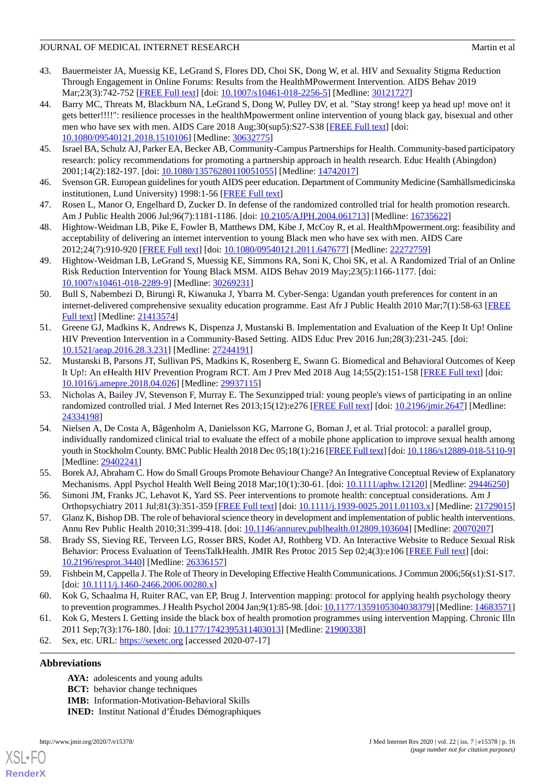# JOURNAL OF MEDICAL INTERNET RESEARCH MATCHLONEY AND MATCHLONEY MATCHLONEY MATCHLONEY AND MATCHLONEY AND MATCHLONEY AND MATCHLONEY AND MATCHLONEY AND MATCHLONEY AND MATCHLONEY AND MATCHLONEY AND MATCHLONEY AND MATCHLONEY AN

- 43. Bauermeister JA, Muessig KE, LeGrand S, Flores DD, Choi SK, Dong W, et al. HIV and Sexuality Stigma Reduction Through Engagement in Online Forums: Results from the HealthMPowerment Intervention. AIDS Behav 2019 Mar;23(3):742-752 [[FREE Full text\]](http://europepmc.org/abstract/MED/30121727) [doi: [10.1007/s10461-018-2256-5](http://dx.doi.org/10.1007/s10461-018-2256-5)] [Medline: [30121727](http://www.ncbi.nlm.nih.gov/entrez/query.fcgi?cmd=Retrieve&db=PubMed&list_uids=30121727&dopt=Abstract)]
- <span id="page-15-0"></span>44. Barry MC, Threats M, Blackburn NA, LeGrand S, Dong W, Pulley DV, et al. "Stay strong! keep ya head up! move on! it gets better!!!!": resilience processes in the healthMpowerment online intervention of young black gay, bisexual and other men who have sex with men. AIDS Care 2018 Aug;30(sup5):S27-S38 [[FREE Full text\]](http://europepmc.org/abstract/MED/30632775) [doi: [10.1080/09540121.2018.1510106\]](http://dx.doi.org/10.1080/09540121.2018.1510106) [Medline: [30632775\]](http://www.ncbi.nlm.nih.gov/entrez/query.fcgi?cmd=Retrieve&db=PubMed&list_uids=30632775&dopt=Abstract)
- <span id="page-15-2"></span><span id="page-15-1"></span>45. Israel BA, Schulz AJ, Parker EA, Becker AB, Community-Campus Partnerships for Health. Community-based participatory research: policy recommendations for promoting a partnership approach in health research. Educ Health (Abingdon) 2001;14(2):182-197. [doi: [10.1080/13576280110051055\]](http://dx.doi.org/10.1080/13576280110051055) [Medline: [14742017\]](http://www.ncbi.nlm.nih.gov/entrez/query.fcgi?cmd=Retrieve&db=PubMed&list_uids=14742017&dopt=Abstract)
- <span id="page-15-3"></span>46. Svenson GR. European guidelines for youth AIDS peer education. Department of Community Medicine (Samhällsmedicinska institutionen, Lund University) 1998:1-56 [[FREE Full text](https://hivhealthclearinghouse.unesco.org/sites/default/files/resources/HIV%20AIDS%20102e.pdf)]
- <span id="page-15-4"></span>47. Rosen L, Manor O, Engelhard D, Zucker D. In defense of the randomized controlled trial for health promotion research. Am J Public Health 2006 Jul;96(7):1181-1186. [doi: [10.2105/AJPH.2004.061713\]](http://dx.doi.org/10.2105/AJPH.2004.061713) [Medline: [16735622\]](http://www.ncbi.nlm.nih.gov/entrez/query.fcgi?cmd=Retrieve&db=PubMed&list_uids=16735622&dopt=Abstract)
- 48. Hightow-Weidman LB, Pike E, Fowler B, Matthews DM, Kibe J, McCoy R, et al. HealthMpowerment.org: feasibility and acceptability of delivering an internet intervention to young Black men who have sex with men. AIDS Care 2012;24(7):910-920 [[FREE Full text](http://europepmc.org/abstract/MED/22272759)] [doi: [10.1080/09540121.2011.647677\]](http://dx.doi.org/10.1080/09540121.2011.647677) [Medline: [22272759\]](http://www.ncbi.nlm.nih.gov/entrez/query.fcgi?cmd=Retrieve&db=PubMed&list_uids=22272759&dopt=Abstract)
- 49. Hightow-Weidman LB, LeGrand S, Muessig KE, Simmons RA, Soni K, Choi SK, et al. A Randomized Trial of an Online Risk Reduction Intervention for Young Black MSM. AIDS Behav 2019 May;23(5):1166-1177. [doi: [10.1007/s10461-018-2289-9\]](http://dx.doi.org/10.1007/s10461-018-2289-9) [Medline: [30269231](http://www.ncbi.nlm.nih.gov/entrez/query.fcgi?cmd=Retrieve&db=PubMed&list_uids=30269231&dopt=Abstract)]
- <span id="page-15-5"></span>50. Bull S, Nabembezi D, Birungi R, Kiwanuka J, Ybarra M. Cyber-Senga: Ugandan youth preferences for content in an internet-delivered comprehensive sexuality education programme. East Afr J Public Health 2010 Mar;7(1):58-63 [[FREE](http://europepmc.org/abstract/MED/21413574) [Full text\]](http://europepmc.org/abstract/MED/21413574) [Medline: [21413574\]](http://www.ncbi.nlm.nih.gov/entrez/query.fcgi?cmd=Retrieve&db=PubMed&list_uids=21413574&dopt=Abstract)
- <span id="page-15-6"></span>51. Greene GJ, Madkins K, Andrews K, Dispenza J, Mustanski B. Implementation and Evaluation of the Keep It Up! Online HIV Prevention Intervention in a Community-Based Setting. AIDS Educ Prev 2016 Jun;28(3):231-245. [doi: [10.1521/aeap.2016.28.3.231](http://dx.doi.org/10.1521/aeap.2016.28.3.231)] [Medline: [27244191\]](http://www.ncbi.nlm.nih.gov/entrez/query.fcgi?cmd=Retrieve&db=PubMed&list_uids=27244191&dopt=Abstract)
- <span id="page-15-7"></span>52. Mustanski B, Parsons JT, Sullivan PS, Madkins K, Rosenberg E, Swann G. Biomedical and Behavioral Outcomes of Keep It Up!: An eHealth HIV Prevention Program RCT. Am J Prev Med 2018 Aug 14;55(2):151-158 [\[FREE Full text\]](http://europepmc.org/abstract/MED/29937115) [doi: [10.1016/j.amepre.2018.04.026](http://dx.doi.org/10.1016/j.amepre.2018.04.026)] [Medline: [29937115\]](http://www.ncbi.nlm.nih.gov/entrez/query.fcgi?cmd=Retrieve&db=PubMed&list_uids=29937115&dopt=Abstract)
- <span id="page-15-8"></span>53. Nicholas A, Bailey JV, Stevenson F, Murray E. The Sexunzipped trial: young people's views of participating in an online randomized controlled trial. J Med Internet Res 2013;15(12):e276 [\[FREE Full text\]](http://www.jmir.org/2013/12/e276/) [doi: [10.2196/jmir.2647\]](http://dx.doi.org/10.2196/jmir.2647) [Medline: [24334198](http://www.ncbi.nlm.nih.gov/entrez/query.fcgi?cmd=Retrieve&db=PubMed&list_uids=24334198&dopt=Abstract)]
- <span id="page-15-10"></span><span id="page-15-9"></span>54. Nielsen A, De Costa A, Bågenholm A, Danielsson KG, Marrone G, Boman J, et al. Trial protocol: a parallel group, individually randomized clinical trial to evaluate the effect of a mobile phone application to improve sexual health among youth in Stockholm County. BMC Public Health 2018 Dec 05;18(1):216 [\[FREE Full text](https://bmcpublichealth.biomedcentral.com/articles/10.1186/s12889-018-5110-9)] [doi: [10.1186/s12889-018-5110-9\]](http://dx.doi.org/10.1186/s12889-018-5110-9) [Medline: [29402241](http://www.ncbi.nlm.nih.gov/entrez/query.fcgi?cmd=Retrieve&db=PubMed&list_uids=29402241&dopt=Abstract)]
- <span id="page-15-11"></span>55. Borek AJ, Abraham C. How do Small Groups Promote Behaviour Change? An Integrative Conceptual Review of Explanatory Mechanisms. Appl Psychol Health Well Being 2018 Mar;10(1):30-61. [doi: [10.1111/aphw.12120](http://dx.doi.org/10.1111/aphw.12120)] [Medline: [29446250](http://www.ncbi.nlm.nih.gov/entrez/query.fcgi?cmd=Retrieve&db=PubMed&list_uids=29446250&dopt=Abstract)]
- <span id="page-15-12"></span>56. Simoni JM, Franks JC, Lehavot K, Yard SS. Peer interventions to promote health: conceptual considerations. Am J Orthopsychiatry 2011 Jul;81(3):351-359 [[FREE Full text\]](http://europepmc.org/abstract/MED/21729015) [doi: [10.1111/j.1939-0025.2011.01103.x](http://dx.doi.org/10.1111/j.1939-0025.2011.01103.x)] [Medline: [21729015](http://www.ncbi.nlm.nih.gov/entrez/query.fcgi?cmd=Retrieve&db=PubMed&list_uids=21729015&dopt=Abstract)]
- <span id="page-15-13"></span>57. Glanz K, Bishop DB. The role of behavioral science theory in development and implementation of public health interventions. Annu Rev Public Health 2010;31:399-418. [doi: [10.1146/annurev.publhealth.012809.103604](http://dx.doi.org/10.1146/annurev.publhealth.012809.103604)] [Medline: [20070207](http://www.ncbi.nlm.nih.gov/entrez/query.fcgi?cmd=Retrieve&db=PubMed&list_uids=20070207&dopt=Abstract)]
- <span id="page-15-15"></span><span id="page-15-14"></span>58. Brady SS, Sieving RE, Terveen LG, Rosser BRS, Kodet AJ, Rothberg VD. An Interactive Website to Reduce Sexual Risk Behavior: Process Evaluation of TeensTalkHealth. JMIR Res Protoc 2015 Sep 02;4(3):e106 [[FREE Full text](http://www.researchprotocols.org/2015/3/e106/)] [doi: [10.2196/resprot.3440](http://dx.doi.org/10.2196/resprot.3440)] [Medline: [26336157\]](http://www.ncbi.nlm.nih.gov/entrez/query.fcgi?cmd=Retrieve&db=PubMed&list_uids=26336157&dopt=Abstract)
- <span id="page-15-16"></span>59. Fishbein M, Cappella J. The Role of Theory in Developing Effective Health Communications. J Commun 2006;56(s1):S1-S17.  $\left[$ doi:  $\frac{10.1111}{i}$ .1460-2466.2006.00280.x
- 60. Kok G, Schaalma H, Ruiter RAC, van EP, Brug J. Intervention mapping: protocol for applying health psychology theory to prevention programmes. J Health Psychol 2004 Jan;9(1):85-98. [doi: [10.1177/1359105304038379](http://dx.doi.org/10.1177/1359105304038379)] [Medline: [14683571](http://www.ncbi.nlm.nih.gov/entrez/query.fcgi?cmd=Retrieve&db=PubMed&list_uids=14683571&dopt=Abstract)]
- 61. Kok G, Mesters I. Getting inside the black box of health promotion programmes using intervention Mapping. Chronic Illn 2011 Sep;7(3):176-180. [doi: [10.1177/1742395311403013](http://dx.doi.org/10.1177/1742395311403013)] [Medline: [21900338](http://www.ncbi.nlm.nih.gov/entrez/query.fcgi?cmd=Retrieve&db=PubMed&list_uids=21900338&dopt=Abstract)]
- 62. Sex, etc. URL:<https://sexetc.org> [accessed 2020-07-17]

# **Abbreviations**

[XSL](http://www.w3.org/Style/XSL)•FO **[RenderX](http://www.renderx.com/)**

**AYA:** adolescents and young adults **BCT:** behavior change techniques **IMB:** Information-Motivation-Behavioral Skills **INED:** Institut National d'Études Démographiques